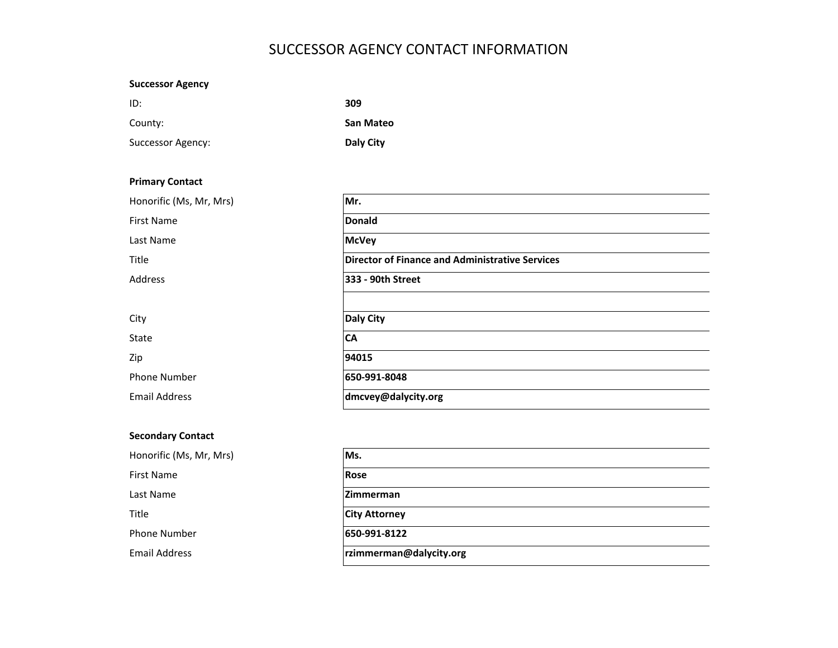# SUCCESSOR AGENCY CONTACT INFORMATION

| <b>Successor Agency</b> |                                                        |  |  |  |  |
|-------------------------|--------------------------------------------------------|--|--|--|--|
| ID:                     | 309                                                    |  |  |  |  |
| County:                 | San Mateo                                              |  |  |  |  |
| Successor Agency:       | Daly City                                              |  |  |  |  |
|                         |                                                        |  |  |  |  |
| <b>Primary Contact</b>  |                                                        |  |  |  |  |
| Honorific (Ms, Mr, Mrs) | Mr.                                                    |  |  |  |  |
| First Name              | <b>Donald</b>                                          |  |  |  |  |
| Last Name               | <b>McVey</b>                                           |  |  |  |  |
| Title                   | <b>Director of Finance and Administrative Services</b> |  |  |  |  |
| Address                 | 333 - 90th Street                                      |  |  |  |  |
|                         |                                                        |  |  |  |  |
| City                    | Daly City                                              |  |  |  |  |
| State                   | CA                                                     |  |  |  |  |
| Zip                     | 94015                                                  |  |  |  |  |
| Phone Number            | 650-991-8048                                           |  |  |  |  |
| <b>Email Address</b>    | dmcvey@dalycity.org                                    |  |  |  |  |

 $\frac{1}{2}$  $\overline{\phantom{0}}$  $\sim$  $\frac{1}{2}$ 

## **Secondary Contact**

| Honorific (Ms, Mr, Mrs) | Ms.                     |
|-------------------------|-------------------------|
| First Name              | <b>Rose</b>             |
| Last Name               | <b>IZimmerman</b>       |
| Title                   | <b>City Attorney</b>    |
| <b>Phone Number</b>     | 650-991-8122            |
| <b>Email Address</b>    | rzimmerman@dalycity.org |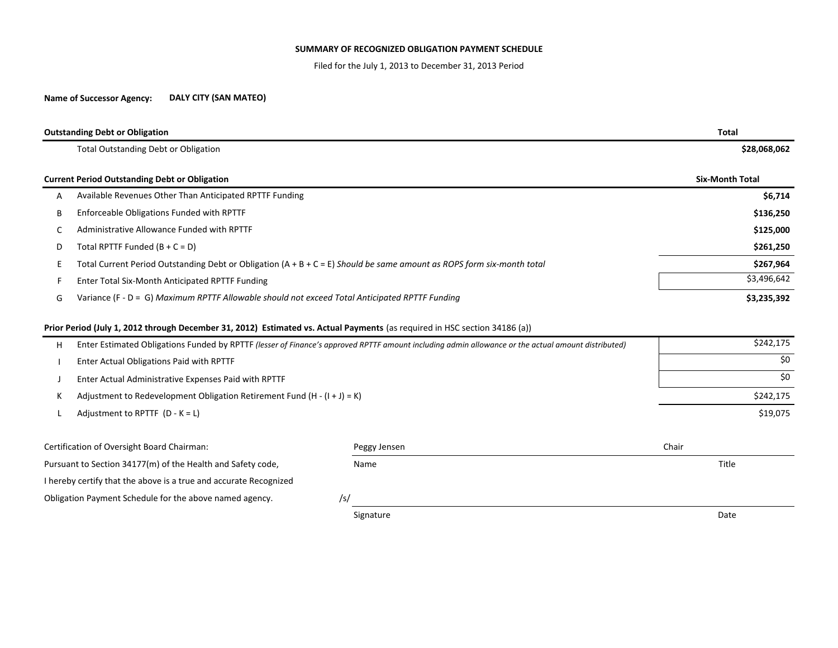## **SUMMARY OF RECOGNIZED OBLIGATION PAYMENT SCHEDULE**

Filed for the July 1, 2013 to December 31, 2013 Period

#### **Name of Successor Agency: DALY CITY (SAN MATEO)**

| <b>Outstanding Debt or Obligation</b>                               | <b>Total</b>                                                                                                                                       |              |                        |  |  |
|---------------------------------------------------------------------|----------------------------------------------------------------------------------------------------------------------------------------------------|--------------|------------------------|--|--|
|                                                                     | <b>Total Outstanding Debt or Obligation</b>                                                                                                        | \$28,068,062 |                        |  |  |
|                                                                     | <b>Current Period Outstanding Debt or Obligation</b>                                                                                               |              | <b>Six-Month Total</b> |  |  |
| Α                                                                   | Available Revenues Other Than Anticipated RPTTF Funding                                                                                            | \$6,714      |                        |  |  |
| В                                                                   | Enforceable Obligations Funded with RPTTF                                                                                                          | \$136,250    |                        |  |  |
| C                                                                   | Administrative Allowance Funded with RPTTF                                                                                                         | \$125,000    |                        |  |  |
| D                                                                   | Total RPTTF Funded $(B + C = D)$                                                                                                                   | \$261,250    |                        |  |  |
|                                                                     | Total Current Period Outstanding Debt or Obligation $(A + B + C = E)$ Should be same amount as ROPS form six-month total                           | \$267,964    |                        |  |  |
|                                                                     | Enter Total Six-Month Anticipated RPTTF Funding                                                                                                    | \$3,496,642  |                        |  |  |
| G                                                                   | Variance (F - D = G) Maximum RPTTF Allowable should not exceed Total Anticipated RPTTF Funding                                                     | \$3,235,392  |                        |  |  |
|                                                                     | Prior Period (July 1, 2012 through December 31, 2012) Estimated vs. Actual Payments (as required in HSC section 34186 (a))                         |              |                        |  |  |
| н                                                                   | Enter Estimated Obligations Funded by RPTTF (lesser of Finance's approved RPTTF amount including admin allowance or the actual amount distributed) | \$242,175    |                        |  |  |
|                                                                     | Enter Actual Obligations Paid with RPTTF                                                                                                           | \$0          |                        |  |  |
|                                                                     | Enter Actual Administrative Expenses Paid with RPTTF                                                                                               | \$0          |                        |  |  |
|                                                                     | Adjustment to Redevelopment Obligation Retirement Fund $(H - (I + J) = K)$                                                                         | \$242,175    |                        |  |  |
|                                                                     | Adjustment to RPTTF $(D - K = L)$                                                                                                                  |              | \$19,075               |  |  |
|                                                                     | Certification of Oversight Board Chairman:                                                                                                         | Peggy Jensen | Chair                  |  |  |
| Pursuant to Section 34177(m) of the Health and Safety code,<br>Name |                                                                                                                                                    |              | Title                  |  |  |
|                                                                     | I hereby certify that the above is a true and accurate Recognized                                                                                  |              |                        |  |  |
|                                                                     | Obligation Payment Schedule for the above named agency.                                                                                            | /s/          |                        |  |  |

Signature Date Date Communications and the Date Date Date Date Date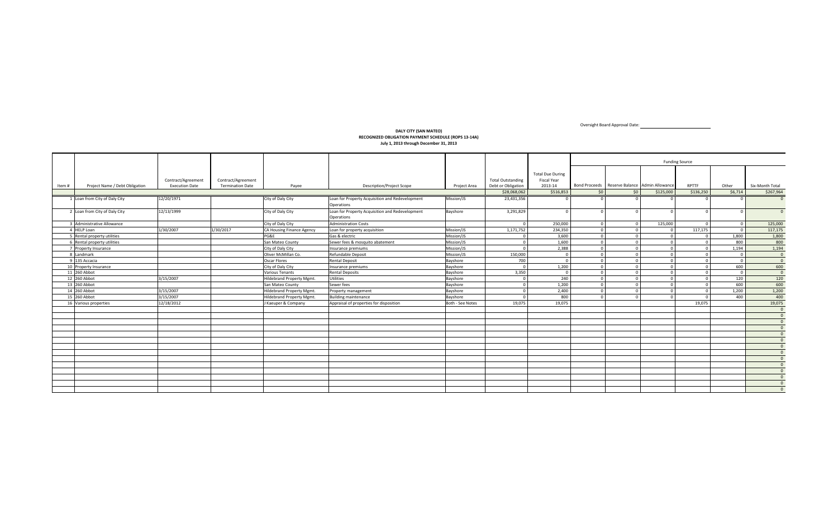### **DALY CITY (SAN MATEO) RECOGNIZED OBLIGATION PAYMENT SCHEDULE (ROPS 13‐14A) July 1, 2013 through December 31, 2013**

Bond Proceeds Reserve Balance Admin Allowance RPTTF Other Six‐Month Total \$28,068,062 \$516,853 \$0 \$0 \$0 \$125,000 \$136,250 \$6,714 \$267,964 1 Loan from12/20/1971 City of Daly City 12/20/1971 City City City Loan for Property Acquisition and Redevelopment Operations Mission/JS 23,431,356 000000 0 2 Loan from12/13/1999 **City of Daly City 12/13/1999** City City City Loan for Property Acquisition and Redevelopment Operations Bayshore | 3,291,829 | 0| 0| 0| 0| 0| 0| 0| 0 3 Administrative Allowance Administrative Allowance City of Daly City Administration Costs 0 250,000 0 0 125,000 0 0 125,000 4 HELPPLoan 1/30/2007 11/30/2007 11/30/2017 |CA Housing Finance Agency |Loan for property acquisition Mission/JS | 1,171,752 | 234,350 0 0 0 0 117,175 0 117,175 0 117,175 5 Rental property utilities Rental property utilities PG&E Gas & electric Mission/JS 0 3,600 0000 1,800 1,800 6 Rental property utilities Rental property utilities San Mateo County Sewer fees & mosquito abatement Mission/JS 0 1,600 0 0 0 0 800 800 7 Property Insurance Property Insurance City of Daly City Insurance premiums Mission/JS 0 2,388 0000 1,194 1,194 8 Landmark Oliver McMillan Co. Co. Refundable Deposit Mission/JS 150,000 000000 0 9 135 Accacia 135 Accacia Oscar Flores Rental Deposit Bayshore 700 000000 0 10 Property Insurance 0 |Property Insurance City of Daly City Insurance premiums Bayshore 0 1 600 | 600 | 600 | 600 | 600 | 600 | 11 260 Abbot 260 Abbot Various Tenants Rental Deposits Bayshore 3,350 000000 0 12 260 Abbot 260 Abbot 3/15/2007 Hildebrand Property Mgmt. Utilities Bayshore 0 240 0 0 0 0 120 120 13 260 Abbot SanSan Mateo County County Sewer fees Bayshore 0 1,200 0 0 0 0 600 600 14 260 Abbot 260 Abbot 3/15/2007 Hildebrand Property Mgmt. Property management Bayshore 0 2,400 0000 1,200 1,200 15 260 Abbot 260 Abbot 3/15/2007 Hildebrand Property Mgmt. Building maintenance Bayshore 0 800 0 0 0 0 400 400 16 Various properties Various properties 12/18/2012 J Kaeuper & Company Appraisal of properties for disposition Both ‐ See Notes 19,075 19,075 19,075 19,075 0 0  $\overline{0}$  $\overline{0}$  $\frac{1}{\Omega}$  $\frac{1}{\alpha}$ 0  $\overline{0}$  0  $\overline{0}$  $\overline{0}$  $\overline{0}$  0 0 Project Area Total Outstanding Debt or Obligation Total Due During Fiscal Year 2013‐14\$516,853 Funding Source Item# m # Project Name / Debt Obligation | Execution Date | Termination Date | Payee | Payee Description/Project Scope Contract/Agreement Termination Date Contract/Agreement

Oversight Board Approval Date: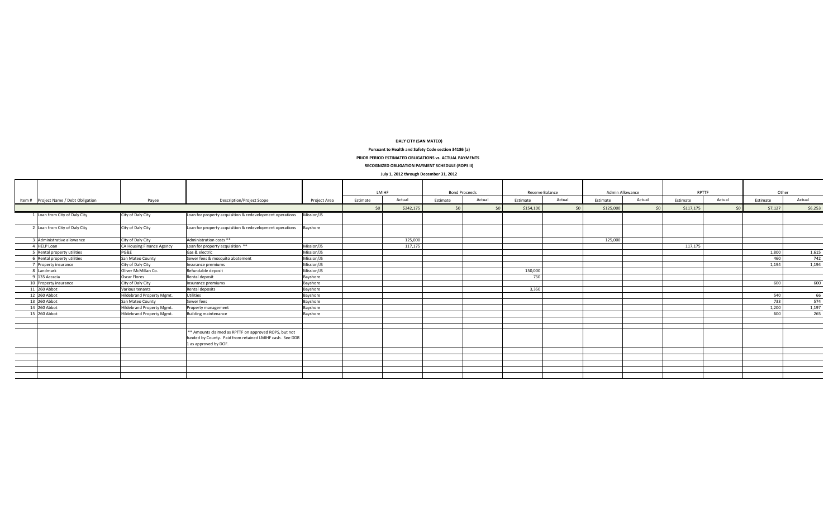#### **DALY CITY (SAN MATEO)**

#### **Pursuant to Health and Safety Code section 34186 (a)**

**PRIOR PERIOD ESTIMATED OBLIGATIONS vs. ACTUAL PAYMENTS**

**RECOGNIZED OBLIGATION PAYMENT SCHEDULE (ROPS II)**

## **July 1, 2012 through December 31, 2012**

| $20.7$ $\pm 0.22$ and $\pm 0.00$ and $\pm 0.00$ and $\pm 0.00$ |                           |                                                                                                                                            |              |          |           |                      |        |                 |        |                 |        |           |        |          |         |
|----------------------------------------------------------------|---------------------------|--------------------------------------------------------------------------------------------------------------------------------------------|--------------|----------|-----------|----------------------|--------|-----------------|--------|-----------------|--------|-----------|--------|----------|---------|
|                                                                |                           |                                                                                                                                            |              | LMIHF    |           | <b>Bond Proceeds</b> |        | Reserve Balance |        | Admin Allowance |        | RPTTF     |        | Other    |         |
| Item # Project Name / Debt Obligation                          | Payee                     | Description/Project Scope                                                                                                                  | Project Area | Estimate | Actual    | Estimate             | Actual | Estimate        | Actual | Estimate        | Actual | Estimate  | Actual | Estimate | Actual  |
|                                                                |                           |                                                                                                                                            |              | 50       | \$242,175 | $\zeta$              | 50     | \$154,100       |        | \$125,000       | 50     | \$117,175 | 50     | \$7,127  | \$6,253 |
| 1 Loan from City of Daly City                                  | City of Daly City         | Loan for property acquisition & redevelopment operations                                                                                   | Mission/JS   |          |           |                      |        |                 |        |                 |        |           |        |          |         |
| 2 Loan from City of Daly City                                  | City of Daly City         | Loan for property acquisition & redevelopment operations                                                                                   | Bayshore     |          |           |                      |        |                 |        |                 |        |           |        |          |         |
| 3 Administrative allowance                                     | City of Daly City         | Administration costs **                                                                                                                    |              |          | 125,000   |                      |        |                 |        | 125,000         |        |           |        |          |         |
| 4 HELP Loan                                                    | CA Housing Finance Agency | Loan for property acquisition **                                                                                                           | Mission/JS   |          | 117,175   |                      |        |                 |        |                 |        | 117,175   |        |          |         |
| Rental property utilities                                      | PG&E                      | Gas & electric                                                                                                                             | Mission/JS   |          |           |                      |        |                 |        |                 |        |           |        | 1,800    | 1,615   |
| Rental property utilities                                      | San Mateo County          | Sewer fees & mosquito abatement                                                                                                            | Mission/JS   |          |           |                      |        |                 |        |                 |        |           |        | 460      | 742     |
| 7 Property insurance                                           | City of Daly City         | Insurance premiums                                                                                                                         | Mission/JS   |          |           |                      |        |                 |        |                 |        |           |        | 1,194    | 1,194   |
| Landmark                                                       | Oliver McMillan Co.       | Refundable deposit                                                                                                                         | Mission/JS   |          |           |                      |        | 150,000         |        |                 |        |           |        |          |         |
| 135 Accacia                                                    | Oscar Flores              | Rental deposit                                                                                                                             | Bayshore     |          |           |                      |        | 750             |        |                 |        |           |        |          |         |
| 10 Property insurance                                          | City of Daly City         | Insurance premiums                                                                                                                         | Bayshore     |          |           |                      |        |                 |        |                 |        |           |        | 600      | 600     |
| 11 260 Abbot                                                   | Various tenants           | Rental deposits                                                                                                                            | Bayshore     |          |           |                      |        | 3,350           |        |                 |        |           |        |          |         |
| 12 260 Abbot                                                   | Hildebrand Property Mgmt. | Utilities                                                                                                                                  | Bayshore     |          |           |                      |        |                 |        |                 |        |           |        | 540      | 66      |
| 13 260 Abbot                                                   | San Mateo County          | Sewer fees                                                                                                                                 | Bayshore     |          |           |                      |        |                 |        |                 |        |           |        | 733      | 574     |
| 14 260 Abbot                                                   | Hildebrand Property Mgmt. | Property management                                                                                                                        | Bayshore     |          |           |                      |        |                 |        |                 |        |           |        | 1,200    | 1,197   |
| 15 260 Abbot                                                   | Hildebrand Property Mgmt. | <b>Building maintenance</b>                                                                                                                | Bayshore     |          |           |                      |        |                 |        |                 |        |           |        | 600      | 265     |
|                                                                |                           |                                                                                                                                            |              |          |           |                      |        |                 |        |                 |        |           |        |          |         |
|                                                                |                           | ** Amounts claimed as RPTTF on approved ROPS, but not<br>funded by County. Paid from retained LMIHF cash. See DDR<br>1 as approved by DOF. |              |          |           |                      |        |                 |        |                 |        |           |        |          |         |
|                                                                |                           |                                                                                                                                            |              |          |           |                      |        |                 |        |                 |        |           |        |          |         |
|                                                                |                           |                                                                                                                                            |              |          |           |                      |        |                 |        |                 |        |           |        |          |         |
|                                                                |                           |                                                                                                                                            |              |          |           |                      |        |                 |        |                 |        |           |        |          |         |
|                                                                |                           |                                                                                                                                            |              |          |           |                      |        |                 |        |                 |        |           |        |          |         |
|                                                                |                           |                                                                                                                                            |              |          |           |                      |        |                 |        |                 |        |           |        |          |         |